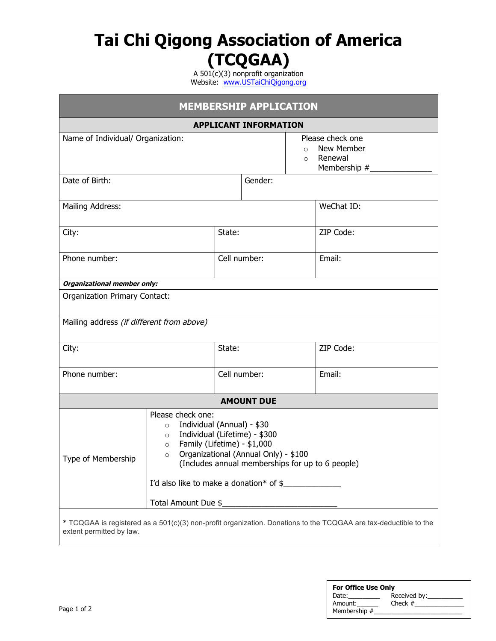# **Tai Chi Qigong Association of America (TCQGAA)**

A 501(c)(3) nonprofit organization Website: www.USTaiChiQigong.org

| <b>MEMBERSHIP APPLICATION</b>                                                                                                                |                                                                                                                                                                                                                                                                                                                                                                          |              |                     |  |                                                           |  |  |
|----------------------------------------------------------------------------------------------------------------------------------------------|--------------------------------------------------------------------------------------------------------------------------------------------------------------------------------------------------------------------------------------------------------------------------------------------------------------------------------------------------------------------------|--------------|---------------------|--|-----------------------------------------------------------|--|--|
| <b>APPLICANT INFORMATION</b>                                                                                                                 |                                                                                                                                                                                                                                                                                                                                                                          |              |                     |  |                                                           |  |  |
| Name of Individual/ Organization:                                                                                                            |                                                                                                                                                                                                                                                                                                                                                                          |              | $\Omega$<br>$\circ$ |  | Please check one<br>New Member<br>Renewal<br>Membership # |  |  |
| Date of Birth:                                                                                                                               |                                                                                                                                                                                                                                                                                                                                                                          |              | Gender:             |  |                                                           |  |  |
| Mailing Address:                                                                                                                             |                                                                                                                                                                                                                                                                                                                                                                          |              |                     |  | WeChat ID:                                                |  |  |
| City:                                                                                                                                        |                                                                                                                                                                                                                                                                                                                                                                          | State:       |                     |  | ZIP Code:                                                 |  |  |
| Phone number:                                                                                                                                |                                                                                                                                                                                                                                                                                                                                                                          | Cell number: |                     |  | Email:                                                    |  |  |
| Organizational member only:                                                                                                                  |                                                                                                                                                                                                                                                                                                                                                                          |              |                     |  |                                                           |  |  |
| <b>Organization Primary Contact:</b>                                                                                                         |                                                                                                                                                                                                                                                                                                                                                                          |              |                     |  |                                                           |  |  |
| Mailing address (if different from above)                                                                                                    |                                                                                                                                                                                                                                                                                                                                                                          |              |                     |  |                                                           |  |  |
| City:                                                                                                                                        |                                                                                                                                                                                                                                                                                                                                                                          | State:       |                     |  | ZIP Code:                                                 |  |  |
| Phone number:                                                                                                                                |                                                                                                                                                                                                                                                                                                                                                                          | Cell number: |                     |  | Email:                                                    |  |  |
|                                                                                                                                              |                                                                                                                                                                                                                                                                                                                                                                          |              | <b>AMOUNT DUE</b>   |  |                                                           |  |  |
| Type of Membership                                                                                                                           | Please check one:<br>Individual (Annual) - \$30<br>$\circ$<br>Individual (Lifetime) - \$300<br>$\circ$<br>Family (Lifetime) - \$1,000<br>$\circ$<br>Organizational (Annual Only) - \$100<br>$\circ$<br>(Includes annual memberships for up to 6 people)<br>I'd also like to make a donation* of \$<br>Total Amount Due \$<br><u> 1980 - Jan Samuel Barbara, martin d</u> |              |                     |  |                                                           |  |  |
| * TCQGAA is registered as a 501(c)(3) non-profit organization. Donations to the TCQGAA are tax-deductible to the<br>extent permitted by law. |                                                                                                                                                                                                                                                                                                                                                                          |              |                     |  |                                                           |  |  |

| <b>For Office Use Only</b> |              |  |  |  |  |
|----------------------------|--------------|--|--|--|--|
| Date:                      | Received by: |  |  |  |  |
| Amount:                    | Check $#$    |  |  |  |  |
| Membership #               |              |  |  |  |  |
|                            |              |  |  |  |  |